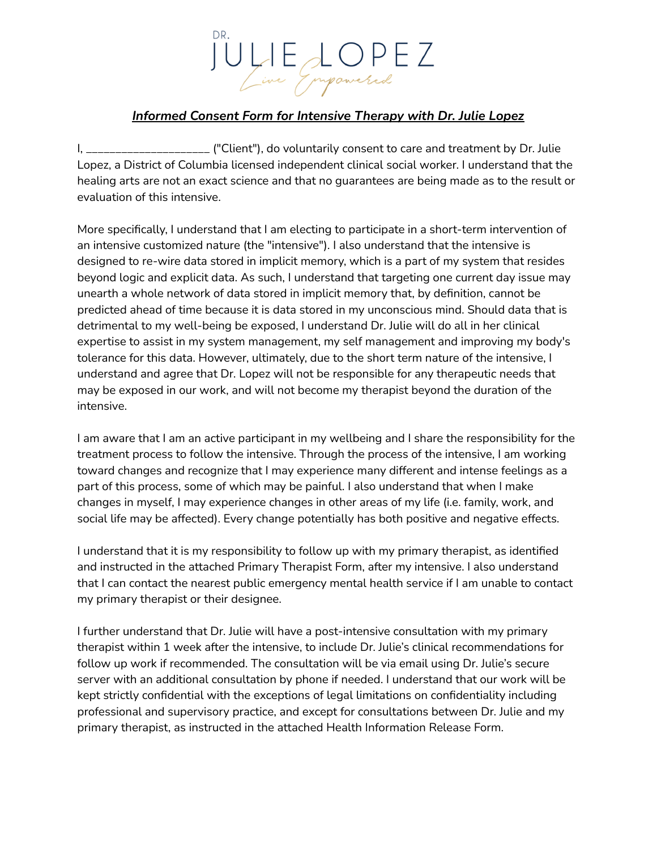## JULIE LOPEZ

## *Informed Consent Form for Intensive Therapy with Dr. Julie Lopez*

I, \_\_\_\_\_\_\_\_\_\_\_\_\_\_\_\_\_\_\_\_\_ ("Client"), do voluntarily consent to care and treatment by Dr. Julie Lopez, a District of Columbia licensed independent clinical social worker. I understand that the healing arts are not an exact science and that no guarantees are being made as to the result or evaluation of this intensive.

More specifically, I understand that I am electing to participate in a short-term intervention of an intensive customized nature (the "intensive"). I also understand that the intensive is designed to re-wire data stored in implicit memory, which is a part of my system that resides beyond logic and explicit data. As such, I understand that targeting one current day issue may unearth a whole network of data stored in implicit memory that, by definition, cannot be predicted ahead of time because it is data stored in my unconscious mind. Should data that is detrimental to my well-being be exposed, I understand Dr. Julie will do all in her clinical expertise to assist in my system management, my self management and improving my body's tolerance for this data. However, ultimately, due to the short term nature of the intensive, I understand and agree that Dr. Lopez will not be responsible for any therapeutic needs that may be exposed in our work, and will not become my therapist beyond the duration of the intensive.

I am aware that I am an active participant in my wellbeing and I share the responsibility for the treatment process to follow the intensive. Through the process of the intensive, I am working toward changes and recognize that I may experience many different and intense feelings as a part of this process, some of which may be painful. I also understand that when I make changes in myself, I may experience changes in other areas of my life (i.e. family, work, and social life may be affected). Every change potentially has both positive and negative effects.

I understand that it is my responsibility to follow up with my primary therapist, as identified and instructed in the attached Primary Therapist Form, after my intensive. I also understand that I can contact the nearest public emergency mental health service if I am unable to contact my primary therapist or their designee.

I further understand that Dr. Julie will have a post-intensive consultation with my primary therapist within 1 week after the intensive, to include Dr. Julie's clinical recommendations for follow up work if recommended. The consultation will be via email using Dr. Julie's secure server with an additional consultation by phone if needed. I understand that our work will be kept strictly confidential with the exceptions of legal limitations on confidentiality including professional and supervisory practice, and except for consultations between Dr. Julie and my primary therapist, as instructed in the attached Health Information Release Form.